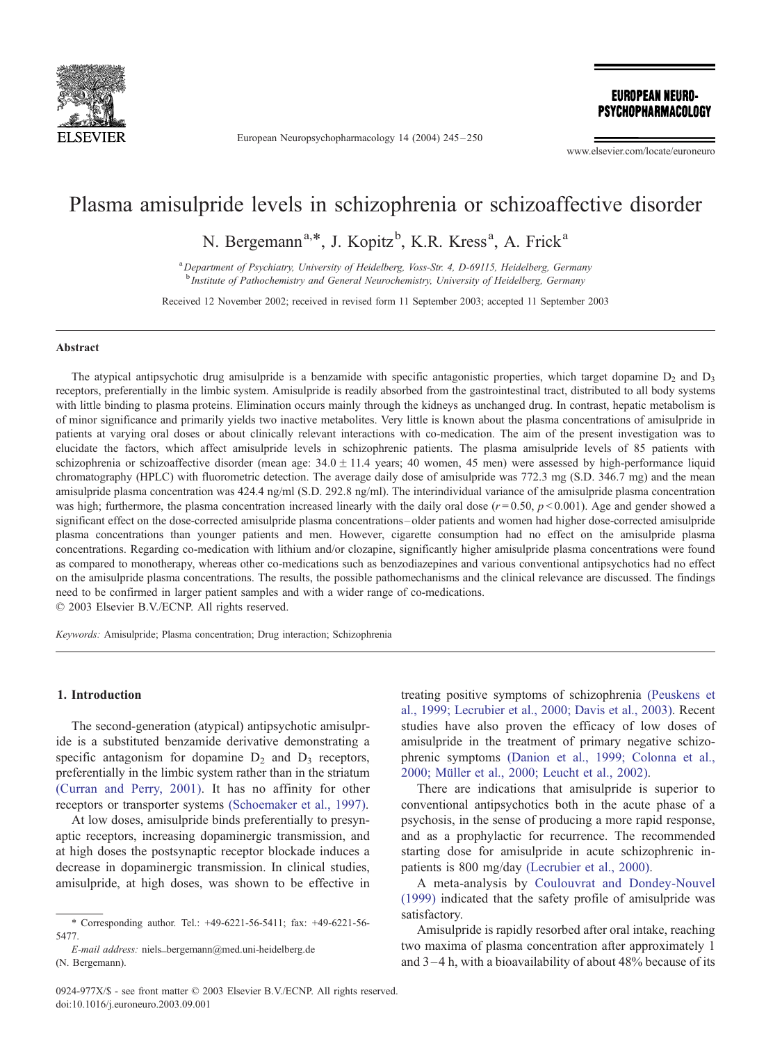

European Neuropsychopharmacology 14 (2004) 245 – 250

**EUROPEAN NEURO-**PSYCHOPHARMACOLOGY

www.elsevier.com/locate/euroneuro

# Plasma amisulpride levels in schizophrenia or schizoaffective disorder

N. Bergemann<sup>a,\*</sup>, J. Kopitz<sup>b</sup>, K.R. Kress<sup>a</sup>, A. Frick<sup>a</sup>

<sup>a</sup> Department of Psychiatry, University of Heidelberg, Voss-Str. 4, D-69115, Heidelberg, Germany <sup>b</sup> Institute of Pathochemistry and General Neurochemistry, University of Heidelberg, Germany

Received 12 November 2002; received in revised form 11 September 2003; accepted 11 September 2003

#### Abstract

The atypical antipsychotic drug amisulpride is a benzamide with specific antagonistic properties, which target dopamine  $D_2$  and  $D_3$ receptors, preferentially in the limbic system. Amisulpride is readily absorbed from the gastrointestinal tract, distributed to all body systems with little binding to plasma proteins. Elimination occurs mainly through the kidneys as unchanged drug. In contrast, hepatic metabolism is of minor significance and primarily yields two inactive metabolites. Very little is known about the plasma concentrations of amisulpride in patients at varying oral doses or about clinically relevant interactions with co-medication. The aim of the present investigation was to elucidate the factors, which affect amisulpride levels in schizophrenic patients. The plasma amisulpride levels of 85 patients with schizophrenia or schizoaffective disorder (mean age:  $34.0 \pm 11.4$  years; 40 women, 45 men) were assessed by high-performance liquid chromatography (HPLC) with fluorometric detection. The average daily dose of amisulpride was 772.3 mg (S.D. 346.7 mg) and the mean amisulpride plasma concentration was 424.4 ng/ml (S.D. 292.8 ng/ml). The interindividual variance of the amisulpride plasma concentration was high; furthermore, the plasma concentration increased linearly with the daily oral dose  $(r=0.50, p<0.001)$ . Age and gender showed a significant effect on the dose-corrected amisulpride plasma concentrations – older patients and women had higher dose-corrected amisulpride plasma concentrations than younger patients and men. However, cigarette consumption had no effect on the amisulpride plasma concentrations. Regarding co-medication with lithium and/or clozapine, significantly higher amisulpride plasma concentrations were found as compared to monotherapy, whereas other co-medications such as benzodiazepines and various conventional antipsychotics had no effect on the amisulpride plasma concentrations. The results, the possible pathomechanisms and the clinical relevance are discussed. The findings need to be confirmed in larger patient samples and with a wider range of co-medications.  $© 2003 Elsevier B.V./ECNP. All rights reserved.$ 

Keywords: Amisulpride; Plasma concentration; Drug interaction; Schizophrenia

## 1. Introduction

The second-generation (atypical) antipsychotic amisulpride is a substituted benzamide derivative demonstrating a specific antagonism for dopamine  $D_2$  and  $D_3$  receptors, preferentially in the limbic system rather than in the striatum [\(Curran and Perry, 2001\).](#page--1-0) It has no affinity for other receptors or transporter systems [\(Schoemaker et al., 1997\).](#page--1-0)

At low doses, amisulpride binds preferentially to presynaptic receptors, increasing dopaminergic transmission, and at high doses the postsynaptic receptor blockade induces a decrease in dopaminergic transmission. In clinical studies, amisulpride, at high doses, was shown to be effective in

E-mail address: niels\_bergemann@med.uni-heidelberg.de (N. Bergemann).

treating positive symptoms of schizophrenia [\(Peuskens et](#page--1-0) al., 1999; Lecrubier et al., 2000; Davis et al., 2003). Recent studies have also proven the efficacy of low doses of amisulpride in the treatment of primary negative schizophrenic symptoms [\(Danion et al., 1999; Colonna et al.,](#page--1-0) 2000; Müller et al., 2000; Leucht et al., 2002).

There are indications that amisulpride is superior to conventional antipsychotics both in the acute phase of a psychosis, in the sense of producing a more rapid response, and as a prophylactic for recurrence. The recommended starting dose for amisulpride in acute schizophrenic inpatients is 800 mg/day [\(Lecrubier et al., 2000\).](#page--1-0)

A meta-analysis by [Coulouvrat and Dondey-Nouvel](#page--1-0) (1999) indicated that the safety profile of amisulpride was satisfactory.

Amisulpride is rapidly resorbed after oral intake, reaching two maxima of plasma concentration after approximately 1 and 3 –4 h, with a bioavailability of about 48% because of its

<sup>\*</sup> Corresponding author. Tel.: +49-6221-56-5411; fax: +49-6221-56- 5477.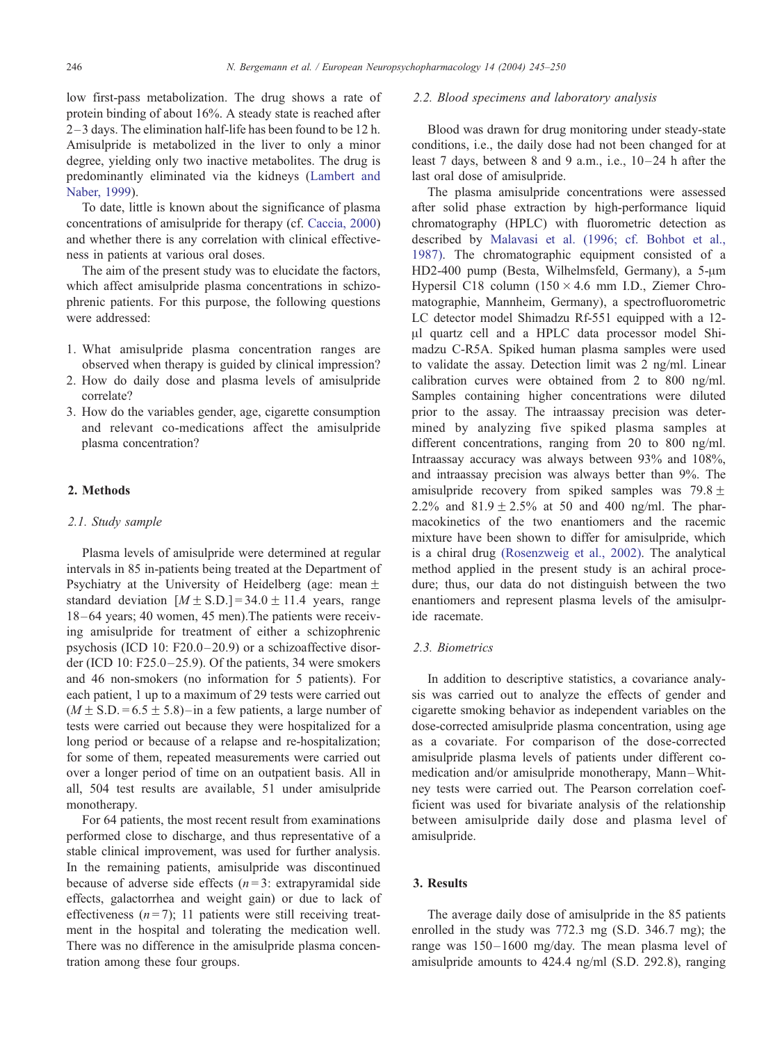low first-pass metabolization. The drug shows a rate of protein binding of about 16%. A steady state is reached after 2 –3 days. The elimination half-life has been found to be 12 h. Amisulpride is metabolized in the liver to only a minor degree, yielding only two inactive metabolites. The drug is predominantly eliminated via the kidneys ([Lambert and](#page--1-0) Naber, 1999).

To date, little is known about the significance of plasma concentrations of amisulpride for therapy (cf. [Caccia, 2000\)](#page--1-0) and whether there is any correlation with clinical effectiveness in patients at various oral doses.

The aim of the present study was to elucidate the factors, which affect amisulpride plasma concentrations in schizophrenic patients. For this purpose, the following questions were addressed:

- 1. What amisulpride plasma concentration ranges are observed when therapy is guided by clinical impression?
- 2. How do daily dose and plasma levels of amisulpride correlate?
- 3. How do the variables gender, age, cigarette consumption and relevant co-medications affect the amisulpride plasma concentration?

## 2. Methods

#### 2.1. Study sample

Plasma levels of amisulpride were determined at regular intervals in 85 in-patients being treated at the Department of Psychiatry at the University of Heidelberg (age: mean  $\pm$ standard deviation  $[M \pm S.D.] = 34.0 \pm 11.4$  years, range 18 –64 years; 40 women, 45 men).The patients were receiving amisulpride for treatment of either a schizophrenic psychosis (ICD 10: F20.0–20.9) or a schizoaffective disorder (ICD 10:  $F25.0-25.9$ ). Of the patients, 34 were smokers and 46 non-smokers (no information for 5 patients). For each patient, 1 up to a maximum of 29 tests were carried out  $(M \pm S.D. = 6.5 \pm 5.8)$  – in a few patients, a large number of tests were carried out because they were hospitalized for a long period or because of a relapse and re-hospitalization; for some of them, repeated measurements were carried out over a longer period of time on an outpatient basis. All in all, 504 test results are available, 51 under amisulpride monotherapy.

For 64 patients, the most recent result from examinations performed close to discharge, and thus representative of a stable clinical improvement, was used for further analysis. In the remaining patients, amisulpride was discontinued because of adverse side effects  $(n=3)$ : extrapyramidal side effects, galactorrhea and weight gain) or due to lack of effectiveness  $(n=7)$ ; 11 patients were still receiving treatment in the hospital and tolerating the medication well. There was no difference in the amisulpride plasma concentration among these four groups.

#### 2.2. Blood specimens and laboratory analysis

Blood was drawn for drug monitoring under steady-state conditions, i.e., the daily dose had not been changed for at least 7 days, between 8 and 9 a.m., i.e.,  $10-24$  h after the last oral dose of amisulpride.

The plasma amisulpride concentrations were assessed after solid phase extraction by high-performance liquid chromatography (HPLC) with fluorometric detection as described by [Malavasi et al. \(1996; cf. Bohbot et al.,](#page--1-0) 1987). The chromatographic equipment consisted of a HD2-400 pump (Besta, Wilhelmsfeld, Germany), a 5-µm Hypersil C18 column  $(150 \times 4.6$  mm I.D., Ziemer Chromatographie, Mannheim, Germany), a spectrofluorometric LC detector model Shimadzu Rf-551 equipped with a 12- Al quartz cell and a HPLC data processor model Shimadzu C-R5A. Spiked human plasma samples were used to validate the assay. Detection limit was 2 ng/ml. Linear calibration curves were obtained from 2 to 800 ng/ml. Samples containing higher concentrations were diluted prior to the assay. The intraassay precision was determined by analyzing five spiked plasma samples at different concentrations, ranging from 20 to 800 ng/ml. Intraassay accuracy was always between 93% and 108%, and intraassay precision was always better than 9%. The amisulpride recovery from spiked samples was  $79.8 +$ 2.2% and  $81.9 + 2.5%$  at 50 and 400 ng/ml. The pharmacokinetics of the two enantiomers and the racemic mixture have been shown to differ for amisulpride, which is a chiral drug [\(Rosenzweig et al., 2002\).](#page--1-0) The analytical method applied in the present study is an achiral procedure; thus, our data do not distinguish between the two enantiomers and represent plasma levels of the amisulpride racemate.

#### 2.3. Biometrics

In addition to descriptive statistics, a covariance analysis was carried out to analyze the effects of gender and cigarette smoking behavior as independent variables on the dose-corrected amisulpride plasma concentration, using age as a covariate. For comparison of the dose-corrected amisulpride plasma levels of patients under different comedication and/or amisulpride monotherapy, Mann –Whitney tests were carried out. The Pearson correlation coefficient was used for bivariate analysis of the relationship between amisulpride daily dose and plasma level of amisulpride.

# 3. Results

The average daily dose of amisulpride in the 85 patients enrolled in the study was 772.3 mg (S.D. 346.7 mg); the range was 150-1600 mg/day. The mean plasma level of amisulpride amounts to 424.4 ng/ml (S.D. 292.8), ranging